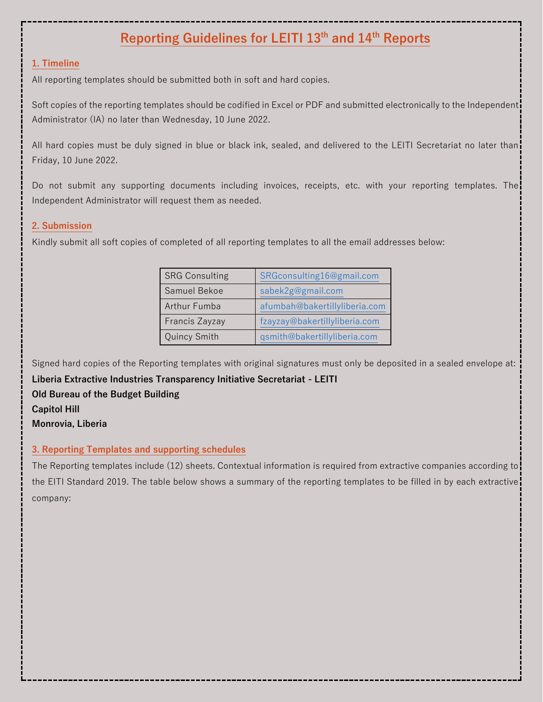# **Reporting Guidelines for LEITI 13th and 14th Reports**

# **1. Timeline**

All reporting templates should be submitted both in soft and hard copies.

Soft copies of the reporting templates should be codified in Excel or PDF and submitted electronically to the Independent Administrator (IA) no later than Wednesday, 10 June 2022.

All hard copies must be duly signed in blue or black ink, sealed, and delivered to the LEITI Secretariat no later than Friday, 10 June 2022.

Do not submit any supporting documents including invoices, receipts, etc. with your reporting templates. The Independent Administrator will request them as needed.

# **2. Submission**

Kindly submit all soft copies of completed of all reporting templates to all the email addresses below:

| <b>SRG Consulting</b> | SRGconsulting16@gmail.com     |
|-----------------------|-------------------------------|
| Samuel Bekoe          | sabek2g@gmail.com             |
| Arthur Fumba          | afumbah@bakertillyliberia.com |
| Francis Zayzay        | fzayzay@bakertillyliberia.com |
| Quincy Smith          | qsmith@bakertillyliberia.com  |

Signed hard copies of the Reporting templates with original signatures must only be deposited in a sealed envelope at:

**Liberia Extractive Industries Transparency Initiative Secretariat - LEITI Old Bureau of the Budget Building Capitol Hill Monrovia, Liberia**

# **3. Reporting Templates and supporting schedules**

The Reporting templates include (12) sheets. Contextual information is required from extractive companies according to the EITI Standard 2019. The table below shows a summary of the reporting templates to be filled in by each extractive company: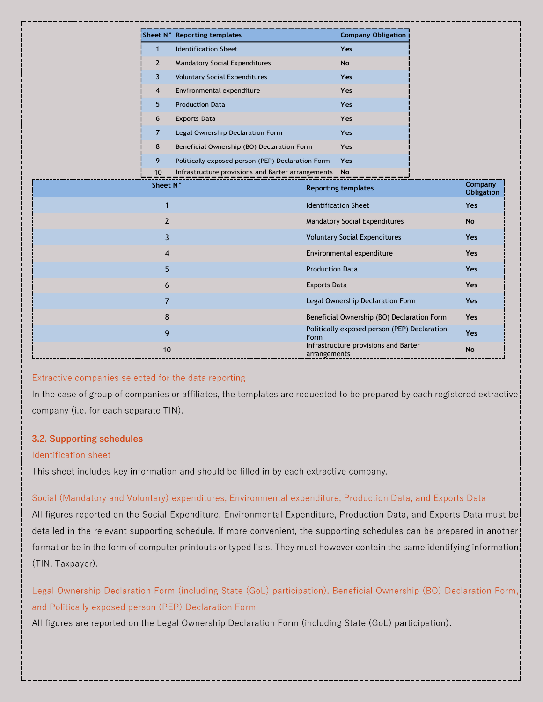|                | Sheet N° Reporting templates                         |                        | <b>Company Obligation</b>                    |                              |
|----------------|------------------------------------------------------|------------------------|----------------------------------------------|------------------------------|
| $\mathbf{1}$   | <b>Identification Sheet</b>                          |                        | Yes                                          |                              |
| $\overline{2}$ | <b>Mandatory Social Expenditures</b>                 |                        | No                                           |                              |
| 3              | <b>Voluntary Social Expenditures</b>                 |                        | Yes                                          |                              |
| $\overline{4}$ | Environmental expenditure                            |                        | Yes                                          |                              |
| 5              | <b>Production Data</b>                               |                        | Yes                                          |                              |
| 6              | <b>Exports Data</b>                                  |                        | Yes                                          |                              |
| $\overline{7}$ | Legal Ownership Declaration Form                     |                        | Yes                                          |                              |
| 8              | Beneficial Ownership (BO) Declaration Form           |                        | Yes                                          |                              |
| 9              | Politically exposed person (PEP) Declaration Form    |                        | Yes                                          |                              |
| 10             | Infrastructure provisions and Barter arrangements No |                        |                                              |                              |
| Sheet N°       |                                                      |                        | <b>Reporting templates</b>                   | Company<br><b>Obligation</b> |
| $\mathbf 1$    |                                                      |                        | <b>Identification Sheet</b>                  | <b>Yes</b>                   |
| 2              |                                                      |                        | Mandatory Social Expenditures                | <b>No</b>                    |
| 3              |                                                      |                        | <b>Voluntary Social Expenditures</b>         | <b>Yes</b>                   |
| 4              |                                                      |                        | Environmental expenditure                    | <b>Yes</b>                   |
| 5              |                                                      | <b>Production Data</b> |                                              | Yes                          |
| 6              |                                                      | <b>Exports Data</b>    |                                              | <b>Yes</b>                   |
| 7              |                                                      |                        | Legal Ownership Declaration Form             | Yes                          |
| 8              |                                                      |                        | Beneficial Ownership (BO) Declaration Form   | Yes                          |
| 9              |                                                      | Form                   | Politically exposed person (PEP) Declaration | Yes                          |
| 10             |                                                      | arrangements           | Infrastructure provisions and Barter         | <b>No</b>                    |

#### Extractive companies selected for the data reporting

In the case of group of companies or affiliates, the templates are requested to be prepared by each registered extractive company (i.e. for each separate TIN).

#### **3.2. Supporting schedules**

#### Identification sheet

This sheet includes key information and should be filled in by each extractive company.

#### Social (Mandatory and Voluntary) expenditures, Environmental expenditure, Production Data, and Exports Data

All figures reported on the Social Expenditure, Environmental Expenditure, Production Data, and Exports Data must be detailed in the relevant supporting schedule. If more convenient, the supporting schedules can be prepared in another format or be in the form of computer printouts or typed lists. They must however contain the same identifying information (TIN, Taxpayer).

Legal Ownership Declaration Form (including State (GoL) participation), Beneficial Ownership (BO) Declaration Form, and Politically exposed person (PEP) Declaration Form

All figures are reported on the Legal Ownership Declaration Form (including State (GoL) participation).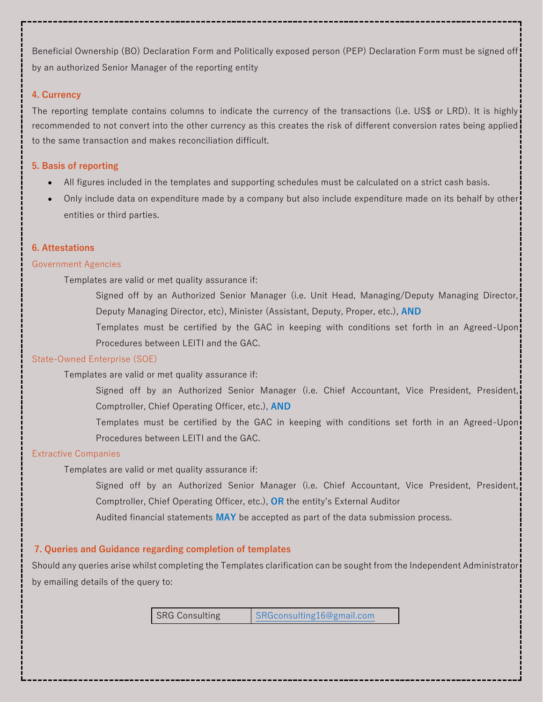Beneficial Ownership (BO) Declaration Form and Politically exposed person (PEP) Declaration Form must be signed off by an authorized Senior Manager of the reporting entity

#### **4. Currency**

The reporting template contains columns to indicate the currency of the transactions (i.e. US\$ or LRD). It is highly recommended to not convert into the other currency as this creates the risk of different conversion rates being applied to the same transaction and makes reconciliation difficult.

### **5. Basis of reporting**

- All figures included in the templates and supporting schedules must be calculated on a strict cash basis.
- Only include data on expenditure made by a company but also include expenditure made on its behalf by other entities or third parties.

### **6. Attestations**

#### Government Agencies

Templates are valid or met quality assurance if:

Signed off by an Authorized Senior Manager (i.e. Unit Head, Managing/Deputy Managing Director, Deputy Managing Director, etc), Minister (Assistant, Deputy, Proper, etc.), **AND**

Templates must be certified by the GAC in keeping with conditions set forth in an Agreed-Upon Procedures between LEITI and the GAC.

#### State-Owned Enterprise (SOE)

### Templates are valid or met quality assurance if:

Signed off by an Authorized Senior Manager (i.e. Chief Accountant, Vice President, President, Comptroller, Chief Operating Officer, etc.), **AND**

Templates must be certified by the GAC in keeping with conditions set forth in an Agreed-Upon Procedures between LEITI and the GAC.

#### Extractive Companies

Templates are valid or met quality assurance if:

Signed off by an Authorized Senior Manager (i.e. Chief Accountant, Vice President, President, Comptroller, Chief Operating Officer, etc.), **OR** the entity's External Auditor

Audited financial statements **MAY** be accepted as part of the data submission process.

# **7. Queries and Guidance regarding completion of templates**

Should any queries arise whilst completing the Templates clarification can be sought from the Independent Administrator by emailing details of the query to:

SRG Consulting SRGconsulting16@gmail.com